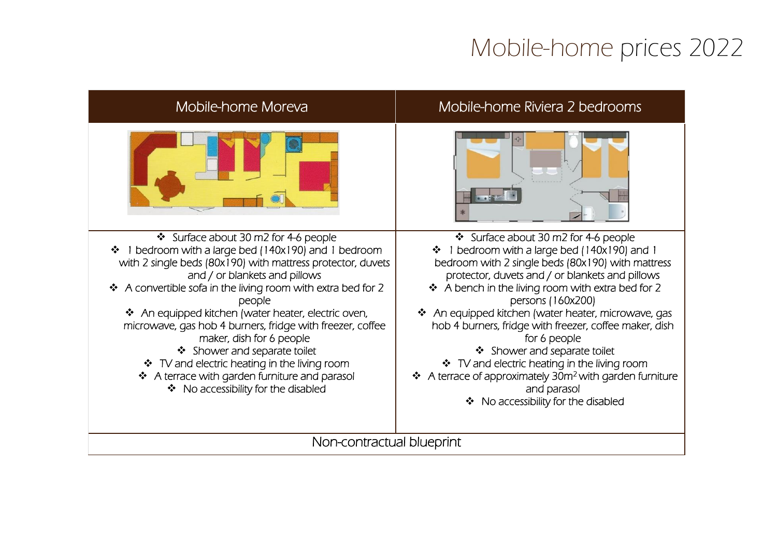## Mobile-home prices 2022

| Mobile-home Moreva                                                                                                                                                                                                                                                                                                                                                                                                                                                                                                                                                                                                         | Mobile-home Riviera 2 bedrooms                                                                                                                                                                                                                                                                                                                                                                                                                                                                                                                                                                                        |  |
|----------------------------------------------------------------------------------------------------------------------------------------------------------------------------------------------------------------------------------------------------------------------------------------------------------------------------------------------------------------------------------------------------------------------------------------------------------------------------------------------------------------------------------------------------------------------------------------------------------------------------|-----------------------------------------------------------------------------------------------------------------------------------------------------------------------------------------------------------------------------------------------------------------------------------------------------------------------------------------------------------------------------------------------------------------------------------------------------------------------------------------------------------------------------------------------------------------------------------------------------------------------|--|
|                                                                                                                                                                                                                                                                                                                                                                                                                                                                                                                                                                                                                            |                                                                                                                                                                                                                                                                                                                                                                                                                                                                                                                                                                                                                       |  |
| Surface about 30 m2 for 4-6 people<br>1 bedroom with a large bed (140x190) and 1 bedroom<br>$\frac{1}{2}$<br>with 2 single beds (80x190) with mattress protector, duvets<br>and / or blankets and pillows<br>❖ A convertible sofa in the living room with extra bed for 2<br>people<br>❖ An equipped kitchen (water heater, electric oven,<br>microwave, gas hob 4 burners, fridge with freezer, coffee<br>maker, dish for 6 people<br>❖ Shower and separate toilet<br>❖ TV and electric heating in the living room<br>❖ A terrace with garden furniture and parasol<br>No accessibility for the disabled<br>$\frac{1}{2}$ | Surface about 30 m2 for 4-6 people<br>1 bedroom with a large bed (140x190) and 1<br>❖<br>bedroom with 2 single beds (80x190) with mattress<br>protector, duvets and / or blankets and pillows<br>❖ A bench in the living room with extra bed for 2<br>persons (160x200)<br>❖ An equipped kitchen (water heater, microwave, gas<br>hob 4 burners, fridge with freezer, coffee maker, dish<br>for 6 people<br>❖ Shower and separate toilet<br>❖ TV and electric heating in the living room<br>❖ A terrace of approximately 30m <sup>2</sup> with garden furniture<br>and parasol<br>❖ No accessibility for the disabled |  |
| Non-contractual blueprint                                                                                                                                                                                                                                                                                                                                                                                                                                                                                                                                                                                                  |                                                                                                                                                                                                                                                                                                                                                                                                                                                                                                                                                                                                                       |  |